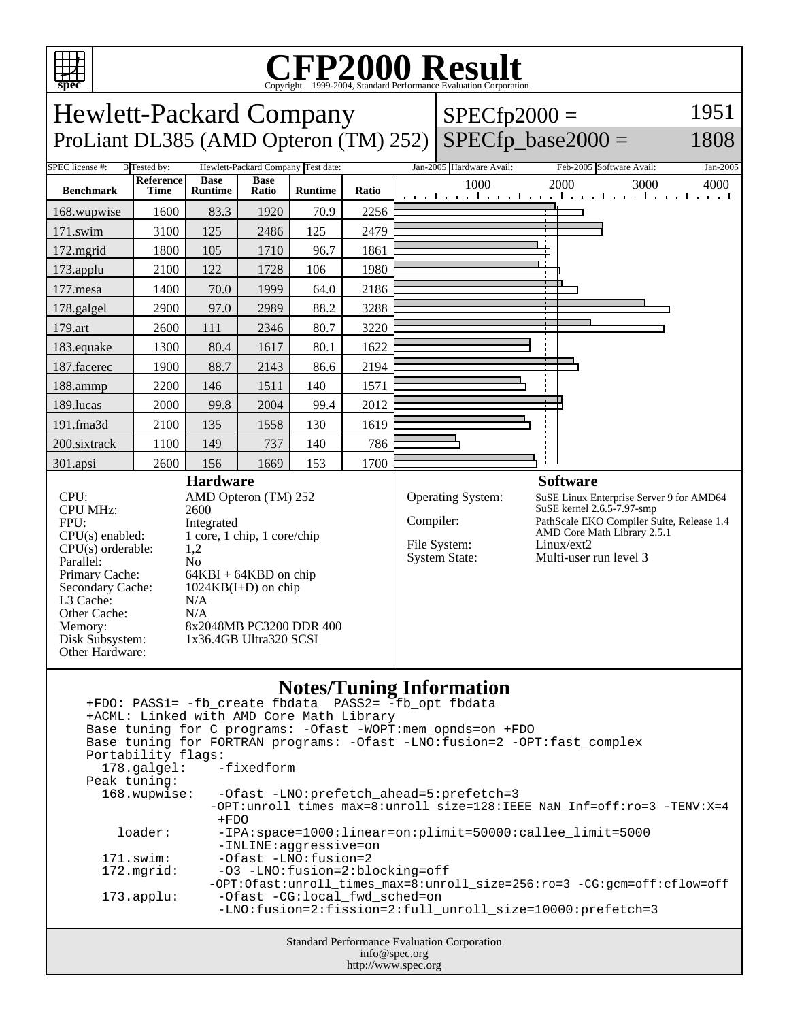

Primary Cache: 64KBI + 64KBD on chip<br>Secondary Cache: 1024KB(I+D) on chip

Disk Subsystem: 1x36.4GB Ultra320 SCSI

L3 Cache: N/A<br>Other Cache: N/A

Other Cache:<br>Memory:

Other Hardware:

 $1024KB(I+D)$  on chip

8x2048MB PC3200 DDR 400

## Copyright ©1999-2004, Standard Performance Evaluation Corporation

**spec** Hewlett-Packard Company ProLiant DL385 (AMD Opteron (TM) 252)  $SPECfp2000 =$  $SPECfp\_base2000 =$ 1951 1808 SPEC license #: 3 Tested by: Hewlett-Packard Company Test date: Jan-2005 Hardware Avail: Feb-2005 Software Avail: Jan-2005 **Benchmark Reference Time Base Runtime Base Ratio Runtime Ratio** 1000 2000 3000 4000 168.wupwise 1600 83.3 1920 70.9 2256 171.swim | 3100 | 125 | 2486 | 125 | 2479 172.mgrid | 1800 | 105 | 1710 | 96.7 | 1861 173.applu | 2100 | 122 | 1728 | 106 | 1980 177.mesa | 1400 | 70.0 | 1999 | 64.0 | 2186 178.galgel 2900 97.0 2989 88.2 3288 179.art 2600 111 2346 80.7 3220 183.equake 1300 80.4 1617 80.1 1622 187.facerec | 1900 | 88.7 | 2143 | 86.6 | 2194 188.ammp | 2200 | 146 | 1511 | 140 | 1571 189.lucas | 2000 | 99.8 | 2004 | 99.4 | 2012 191.fma3d 2100 135 1558 130 1619 200.sixtrack 1100 149 737 140 786 301.apsi 2600 156 1669 153 1700 **Hardware** CPU: AMD Opteron (TM) 252<br>CPU MHz: 2600 CPU MHz: FPU: Integrated  $CPU(s)$  enabled:  $1$  core, 1 chip, 1 core/chip<br>CPU(s) orderable:  $1.2$  $CPU(s)$  orderable: Parallel: No<br>Primary Cache: 64F **Software** Operating System: SuSE Linux Enterprise Server 9 for AMD64<br>SuSE kernel 2.6.5-7.97-smp Compiler: PathScale EKO Compiler Suite, Release 1.4 AMD Core Math Library 2.5.1 File System: Linux/ext2 System State: Multi-user run level 3

## **Notes/Tuning Information**

| +FDO: PASS1= -fb_create fbdata PASS2= -fb_opt fbdata                          |                                                                          |  |  |  |  |  |  |
|-------------------------------------------------------------------------------|--------------------------------------------------------------------------|--|--|--|--|--|--|
| +ACML: Linked with AMD Core Math Library                                      |                                                                          |  |  |  |  |  |  |
| Base tuning for C programs: - Ofast - WOPT: mem_opnds=on + FDO                |                                                                          |  |  |  |  |  |  |
| Base tuning for FORTRAN programs: - Ofast - LNO: fusion=2 - OPT: fast complex |                                                                          |  |  |  |  |  |  |
| Portability flags:                                                            |                                                                          |  |  |  |  |  |  |
| 178.galgel: -fixedform                                                        |                                                                          |  |  |  |  |  |  |
| Peak tuning:                                                                  |                                                                          |  |  |  |  |  |  |
| 168.wupwise:                                                                  | -Ofast -LNO:prefetch_ahead=5:prefetch=3                                  |  |  |  |  |  |  |
|                                                                               | -OPT:unroll times max=8:unroll size=128:IEEE NaN Inf=off:ro=3 -TENV:X=4  |  |  |  |  |  |  |
|                                                                               | $+FDO$                                                                   |  |  |  |  |  |  |
| loader:                                                                       | -IPA:space=1000:linear=on:plimit=50000:callee_limit=5000                 |  |  |  |  |  |  |
|                                                                               | -INLINE:aqqressive=on                                                    |  |  |  |  |  |  |
| $171$ .swim:                                                                  | -Ofast -LNO:fusion=2                                                     |  |  |  |  |  |  |
| 172.mgrid:                                                                    | -03 -LNO:fusion=2:blocking=off                                           |  |  |  |  |  |  |
|                                                                               | -OPT:Ofast:unroll_times_max=8:unroll_size=256:ro=3_-CG:qcm=off:cflow=off |  |  |  |  |  |  |
| $173.appendu$ :                                                               | -Ofast -CG:local fwd sched=on                                            |  |  |  |  |  |  |
|                                                                               | -LNO:fusion=2:fission=2:full unroll size=10000:prefetch=3                |  |  |  |  |  |  |
|                                                                               |                                                                          |  |  |  |  |  |  |
|                                                                               |                                                                          |  |  |  |  |  |  |
| <b>Standard Performance Evaluation Corporation</b>                            |                                                                          |  |  |  |  |  |  |
| info@spec.org                                                                 |                                                                          |  |  |  |  |  |  |

http://www.spec.org